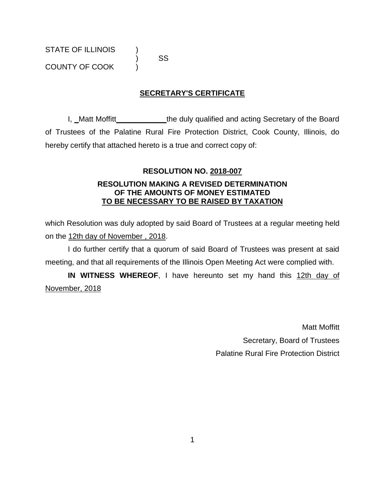STATE OF ILLINOIS (1)

COUNTY OF COOK )

) SS

# **SECRETARY'S CERTIFICATE**

I, **\_**Matt Moffitt**\_\_\_\_\_\_\_\_\_\_\_\_**the duly qualified and acting Secretary of the Board of Trustees of the Palatine Rural Fire Protection District, Cook County, Illinois, do hereby certify that attached hereto is a true and correct copy of:

## **RESOLUTION NO. 2018-007**

## **RESOLUTION MAKING A REVISED DETERMINATION OF THE AMOUNTS OF MONEY ESTIMATED TO BE NECESSARY TO BE RAISED BY TAXATION**

which Resolution was duly adopted by said Board of Trustees at a regular meeting held on the 12th day of November , 2018.

I do further certify that a quorum of said Board of Trustees was present at said meeting, and that all requirements of the Illinois Open Meeting Act were complied with.

**IN WITNESS WHEREOF**, I have hereunto set my hand this 12th day of November, 2018

> Matt Moffitt Secretary, Board of Trustees Palatine Rural Fire Protection District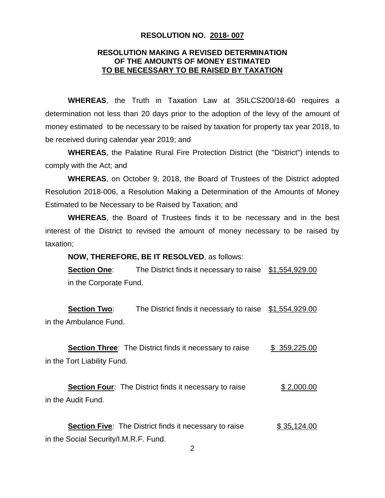#### **RESOLUTION NO. 2018- 007**

### **RESOLUTION MAKING A REVISED DETERMINATION OF THE AMOUNTS OF MONEY ESTIMATED TO BE NECESSARY TO BE RAISED BY TAXATION**

**WHEREAS**, the Truth in Taxation Law at 35ILCS200/18-60 requires a determination not less than 20 days prior to the adoption of the levy of the amount of money estimated to be necessary to be raised by taxation for property tax year 2018, to be received during calendar year 2019; and

**WHEREAS**, the Palatine Rural Fire Protection District (the "District") intends to comply with the Act; and

**WHEREAS**, on October 9, 2018, the Board of Trustees of the District adopted Resolution 2018-006, a Resolution Making a Determination of the Amounts of Money Estimated to be Necessary to be Raised by Taxation; and

**WHEREAS**, the Board of Trustees finds it to be necessary and in the best interest of the District to revised the amount of money necessary to be raised by taxation;

**NOW, THEREFORE, BE IT RESOLVED**, as follows:

**Section One:** The District finds it necessary to raise \$1,554,929.00 in the Corporate Fund.

**Section Two:** The District finds it necessary to raise \$1,554,929.00 in the Ambulance Fund.

**Section Three:** The District finds it necessary to raise  $\qquad$  \$ 359,225.00 in the Tort Liability Fund.

**Section Four**: The District finds it necessary to raise  $$2,000.00$ in the Audit Fund.

**Section Five**: The District finds it necessary to raise  $$35,124.00$ in the Social Security/I.M.R.F. Fund.